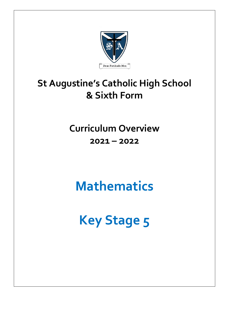

# **St Augustine's Catholic High School & Sixth Form**

**Curriculum Overview 2021 – 2022**

**Mathematics**

**Key Stage 5**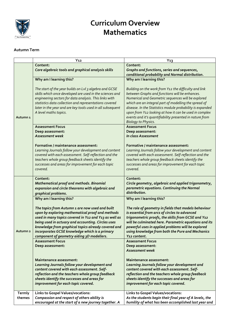

## **Curriculum Overview Mathematics**

#### **Autumn Term**

|                     | $Y_{12}$                                                                                                         | $Y_{13}$                                                                                                    |
|---------------------|------------------------------------------------------------------------------------------------------------------|-------------------------------------------------------------------------------------------------------------|
|                     | Content:                                                                                                         | Content:                                                                                                    |
|                     | Core algebraic tools and graphical analysis skills                                                               | Graphs and functions, series and sequences,                                                                 |
|                     |                                                                                                                  | conditional probability and Normal distribution.                                                            |
|                     | Why am I learning this?                                                                                          | Why am I learning this?                                                                                     |
|                     |                                                                                                                  |                                                                                                             |
|                     | The start of the year builds on Lvl 3 algebra and GCSE                                                           | Building on the work from Y12 the difficulty and link                                                       |
|                     | skills which once developed are used in the sciences and                                                         | between Graphs and functions will be enhances.                                                              |
|                     | engineering sectors for data analysis. This links with<br>statistics data collection and representations covered | Numerical and Geometric sequences will be explored<br>which are an integral part of modelling the spread of |
|                     | later in the year and are key tools used in all subsequent                                                       | disease. In the Statistics module probability is expanded                                                   |
|                     | A level maths topics.                                                                                            | upon from Y12 looking at how it can be used in complex                                                      |
| Autumn <sub>1</sub> |                                                                                                                  | events and it's quantifiability presented in nature from                                                    |
|                     |                                                                                                                  | <b>Biology to Physics.</b>                                                                                  |
|                     | <b>Assessment Focus</b>                                                                                          | <b>Assessment Focus</b>                                                                                     |
|                     | Deep assessment:                                                                                                 | Deep assessment:                                                                                            |
|                     | <b>Assessment week</b>                                                                                           | In class Assessment                                                                                         |
|                     |                                                                                                                  |                                                                                                             |
|                     | Formative / maintenance assessment:                                                                              | Formative / maintenance assessment:                                                                         |
|                     | Learning Journals follow your development and content                                                            | Learning Journals follow your development and content                                                       |
|                     | covered with each assessment. Self-reflection and the                                                            | covered with each assessment. Self-reflection and the                                                       |
|                     | teachers whole group feedback sheets identify the                                                                | teachers whole group feedback sheets identify the                                                           |
|                     | successes and areas for improvement for each topic<br>covered.                                                   | successes and areas for improvement for each topic<br>covered.                                              |
|                     |                                                                                                                  |                                                                                                             |
|                     | Content:                                                                                                         | Content:                                                                                                    |
|                     | <b>Mathematical proof and methods. Binomial</b>                                                                  | Circle geometry, algebraic and applied trigonometry,                                                        |
|                     | expansion and circle theorems with algebraic and                                                                 | parametric equations. Continuing the Normal                                                                 |
|                     | graphical problems.                                                                                              | distribution.                                                                                               |
|                     | Why am I learning this?                                                                                          | Why am I learning this?                                                                                     |
|                     | The topics from Autumn 1 are now used and built                                                                  | The role of geometry in fields that models behaviour                                                        |
|                     | upon by exploring mathematical proof and methods                                                                 | is essential from arcs of circles to advanced                                                               |
|                     | used in many topics covered in Y12 and Y13 as well as                                                            | trigonometric proofs, the skills from GCSE and Y12                                                          |
|                     | being used in actuary and accounting. Circles uses                                                               | will be culminated here. Parametric equations and its                                                       |
|                     | knowledge from graphical topics already covered and                                                              | powerful uses in applied problems will be explored                                                          |
| Autumn <sub>2</sub> | incorporates GCSE knowledge which is a primary                                                                   | using knowledge from both the Pure and Mechanics                                                            |
|                     | component of geometry aiding 3D modellers.                                                                       | Y12 content.                                                                                                |
|                     | <b>Assessment Focus</b>                                                                                          | <b>Assessment Focus</b>                                                                                     |
|                     | Deep assessment:                                                                                                 | Deep assessment:                                                                                            |
|                     |                                                                                                                  | Assessment week                                                                                             |
|                     | Maintenance assessment:                                                                                          | Maintenance assessment:                                                                                     |
|                     | Learning Journals follow your development and                                                                    | Learning Journals follow your development and                                                               |
|                     | content covered with each assessment. Self-                                                                      | content covered with each assessment. Self-                                                                 |
|                     | reflection and the teachers whole group feedback                                                                 | reflection and the teachers whole group feedback                                                            |
|                     | sheets identify the successes and areas for                                                                      | sheets identify the successes and areas for                                                                 |
|                     | improvement for each topic covered.                                                                              | improvement for each topic covered.                                                                         |
| Termly              | Links to Gospel Values/vocations:                                                                                | Links to Gospel Values/vocations:                                                                           |
| themes              | Compassion and respect of others ability is                                                                      | As the students begin their final year of A levels, the                                                     |
|                     | encouraged at the start of a new journey together. A                                                             | humility of what has been accomplished last year and                                                        |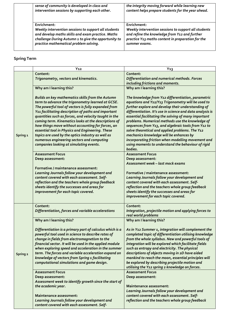| sense of community is developed in class and<br>intervention sessions by supporting each other.                                                                                                                            | the integrity moving forward while learning new<br>content helps prepare students for the year ahead.                                                                                      |
|----------------------------------------------------------------------------------------------------------------------------------------------------------------------------------------------------------------------------|--------------------------------------------------------------------------------------------------------------------------------------------------------------------------------------------|
| Enrichment:<br>Weekly intervention sessions to support all students<br>and develop maths skills and exam practice. Maths<br>challenge During Autumn 1 to give the opportunity to<br>practice mathematical problem solving. | Enrichment:<br>Weekly intervention sessions to support all students<br>and refine the knowledge from Y12 and further<br>practice Y13 maths content in preparation for the<br>summer exams. |

### **Spring Term**

|                     | $Y_{12}$                                                                                                                                                                                                                                                                                                                                                                                                                                                                                                                                                                                    | $Y_{13}$                                                                                                                                                                                                                                                                                                                                                                                                                                                                                                                                                                                                            |
|---------------------|---------------------------------------------------------------------------------------------------------------------------------------------------------------------------------------------------------------------------------------------------------------------------------------------------------------------------------------------------------------------------------------------------------------------------------------------------------------------------------------------------------------------------------------------------------------------------------------------|---------------------------------------------------------------------------------------------------------------------------------------------------------------------------------------------------------------------------------------------------------------------------------------------------------------------------------------------------------------------------------------------------------------------------------------------------------------------------------------------------------------------------------------------------------------------------------------------------------------------|
| Spring <sub>1</sub> | Content:                                                                                                                                                                                                                                                                                                                                                                                                                                                                                                                                                                                    | Content:                                                                                                                                                                                                                                                                                                                                                                                                                                                                                                                                                                                                            |
|                     | Trigonometry, vectors and kinematics.                                                                                                                                                                                                                                                                                                                                                                                                                                                                                                                                                       | Differentiation and numerical methods. Forces<br>including frictions and moments.                                                                                                                                                                                                                                                                                                                                                                                                                                                                                                                                   |
|                     | Why am I learning this?                                                                                                                                                                                                                                                                                                                                                                                                                                                                                                                                                                     | Why am I learning this?                                                                                                                                                                                                                                                                                                                                                                                                                                                                                                                                                                                             |
|                     | Builds on key mathematics skills from the Autumn<br>term to advance the trigonometry learned at GCSE.<br>The powerful tool of vectors is fully expanded from<br>Y11 facilitating description of paths and important<br>quantities such as forces, and velocity taught in the<br>coming term. Kinematics looks at the descriptions of<br>how things move without accounting for forces, an<br>essential tool in Physics and Engineering. These<br>topics are used by the optics industry as well as<br>numerous engineering sectors and computing<br>companies looking at simulating events. | The knowledge from Y12 differentiation, parametric<br>equations and Y12/Y13 Trigonometry will be used to<br>further explore and develop their understanding of<br>differentiation. It's use in science and data analysis is<br>essential facilitating the solving of many important<br>problems. Numerical methods use the knowledge of<br>sequences from Y13, and algebraic tools from Y12 to<br>solve theoretical and applied problems. The Y12<br>mechanics knowledge will be enhances by<br>incorporating friction when modelling movement and<br>using moments to understand the behaviour of rigid<br>bodies. |
|                     | <b>Assessment Focus</b>                                                                                                                                                                                                                                                                                                                                                                                                                                                                                                                                                                     | <b>Assessment Focus</b>                                                                                                                                                                                                                                                                                                                                                                                                                                                                                                                                                                                             |
|                     | Deep assessment:                                                                                                                                                                                                                                                                                                                                                                                                                                                                                                                                                                            | Deep assessment:<br>Assessment week – last mock exams                                                                                                                                                                                                                                                                                                                                                                                                                                                                                                                                                               |
|                     | Formative / maintenance assessment:<br>Learning Journals follow your development and<br>content covered with each assessment. Self-<br>reflection and the teachers whole group feedback<br>sheets identify the successes and areas for<br>improvement for each topic covered.                                                                                                                                                                                                                                                                                                               | Formative / maintenance assessment:<br>Learning Journals follow your development and<br>content covered with each assessment. Self-<br>reflection and the teachers whole group feedback<br>sheets identify the successes and areas for<br>improvement for each topic covered.                                                                                                                                                                                                                                                                                                                                       |
|                     | Content:<br>Differentiation, forces and variable accelerations                                                                                                                                                                                                                                                                                                                                                                                                                                                                                                                              | Content:<br>Integration, projectile motion and applying forces to<br>real world problems                                                                                                                                                                                                                                                                                                                                                                                                                                                                                                                            |
|                     | Why am I learning this?                                                                                                                                                                                                                                                                                                                                                                                                                                                                                                                                                                     | Why am I learning this?                                                                                                                                                                                                                                                                                                                                                                                                                                                                                                                                                                                             |
| Spring 2            | Differentiation is a primary part of calculus which is a<br>powerful tool used in science to describe rates of<br>change in fields from electromagnetism to the<br>financial sector. It will be used in the applied module<br>when exploring speed and acceleration in the summer<br>term. The forces and variable acceleration expand on<br>knowledge of vectors from Spring 1 facilitating<br>computational simulations and game design.                                                                                                                                                  | As in Y12 Summer 1, integration will complement the<br>completed topic of differentiation utilising knowledge<br>from the whole syllabus. New and powerful tools of<br>integration will be explored which facilitate fields<br>such as entropy and electricity. The physical<br>descriptions of objects moving in 2D have aided<br>mankind to reach the moon, essential principles will<br>be explored by describing projectile motion and<br>utilising the Y12 spring 2 knowledge on forces.                                                                                                                       |
|                     | <b>Assessment Focus</b><br>Deep assessment:<br>Assessment week to identify growth since the start of                                                                                                                                                                                                                                                                                                                                                                                                                                                                                        | <b>Assessment Focus</b><br>Deep assessment:                                                                                                                                                                                                                                                                                                                                                                                                                                                                                                                                                                         |
|                     | the academic year.<br><b>Maintenance assessment:</b><br>Learning Journals follow your development and<br>content covered with each assessment. Self-                                                                                                                                                                                                                                                                                                                                                                                                                                        | Maintenance assessment:<br>Learning Journals follow your development and<br>content covered with each assessment. Self-<br>reflection and the teachers whole group feedback                                                                                                                                                                                                                                                                                                                                                                                                                                         |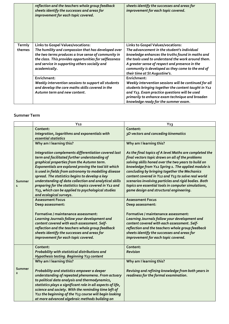|                  | reflection and the teachers whole group feedback<br>sheets identify the successes and areas for<br>improvement for each topic covered.                                                                                                                                       | sheets identify the successes and areas for<br>improvement for each topic covered.                                                                                                                                                                                                                                                        |
|------------------|------------------------------------------------------------------------------------------------------------------------------------------------------------------------------------------------------------------------------------------------------------------------------|-------------------------------------------------------------------------------------------------------------------------------------------------------------------------------------------------------------------------------------------------------------------------------------------------------------------------------------------|
| Termly<br>themes | Links to Gospel Values/vocations:<br>The humility and compassion that has developed over<br>the two terms produces a true sense of community in<br>the class. This provides opportunities for selflessness<br>and service in supporting others socially and<br>academically. | <b>Links to Gospel Values/vocations:</b><br>The advancement in the student's individual<br>knowledge enhances the truths found in maths and<br>the tools used to understand the work around them.<br>A greater sense of respect and presence in the<br>community is developed as they come to the end of<br>their time at St Augustine's. |
|                  | Enrichment:<br>Weekly intervention sessions to support all students<br>and develop the core maths skills covered in the<br>Autumn term and new content.                                                                                                                      | Enrichment:<br>Weekly intervention sessions will be continued for all<br>students bringing together the content taught in Y12<br>and Y13. Exam practice questions will be used<br>primarily to enhance exam technique and broaden<br>knowledge ready for the summer exam.                                                                 |

#### **Summer Term**

|                          | $Y_{12}$                                                                                                                                                                                                                                                                                                                                                                              | $Y_13$                                                                                                                                                                                                                                                                        |
|--------------------------|---------------------------------------------------------------------------------------------------------------------------------------------------------------------------------------------------------------------------------------------------------------------------------------------------------------------------------------------------------------------------------------|-------------------------------------------------------------------------------------------------------------------------------------------------------------------------------------------------------------------------------------------------------------------------------|
|                          | Content:<br>Integration, logarithms and exponentials with<br>essential statistics                                                                                                                                                                                                                                                                                                     | Content:<br>3D vectors and conceding kinematics                                                                                                                                                                                                                               |
|                          | Why am I learning this?                                                                                                                                                                                                                                                                                                                                                               | Why am I learning this?                                                                                                                                                                                                                                                       |
|                          | Integration complements differentiation covered last<br>term and facilitated further understanding of<br>graphical properties from the Autumn term.                                                                                                                                                                                                                                   | As the final topics of A level Maths are completed the<br>final vectors topic draws on all of the problems<br>solving skills honed over the two years to build on                                                                                                             |
|                          | Exponentials are explored proving the tool kit which<br>is used in fields from astronomy to modelling disease<br>spread. The statistics begins to develop a key                                                                                                                                                                                                                       | knowledge from Y12 Spring 1. The applied module is<br>concluding by bringing together the Mechanics<br>content covered in Y12 and Y13 to solve real world                                                                                                                     |
| Summer                   | understanding of data collection and analytical skills<br>preparing for the statistics topics covered in Y12 and                                                                                                                                                                                                                                                                      | scenarios involving particles and rigid bodies. Both<br>topics are essential tools in computer simulations,                                                                                                                                                                   |
| $\mathbf{1}$             | Y13, which can be applied to psychological studies<br>and ecological surveys.                                                                                                                                                                                                                                                                                                         | game design and structural engineering.                                                                                                                                                                                                                                       |
|                          | <b>Assessment Focus</b>                                                                                                                                                                                                                                                                                                                                                               | <b>Assessment Focus</b>                                                                                                                                                                                                                                                       |
|                          | Deep assessment:                                                                                                                                                                                                                                                                                                                                                                      | Deep assessment:                                                                                                                                                                                                                                                              |
|                          | Formative / maintenance assessment:<br>Learning Journals follow your development and<br>content covered with each assessment. Self-<br>reflection and the teachers whole group feedback<br>sheets identify the successes and areas for<br>improvement for each topic covered.                                                                                                         | Formative / maintenance assessment:<br>Learning Journals follow your development and<br>content covered with each assessment. Self-<br>reflection and the teachers whole group feedback<br>sheets identify the successes and areas for<br>improvement for each topic covered. |
|                          | Content:<br>Probability with statistical distributions and<br>Hypothesis testing. Beginning Y13 content                                                                                                                                                                                                                                                                               | Content:<br><b>Revision</b>                                                                                                                                                                                                                                                   |
| Summer<br>$\overline{2}$ | Why am I learning this?                                                                                                                                                                                                                                                                                                                                                               | Why am I learning this?                                                                                                                                                                                                                                                       |
|                          | Probability and statistics empower a deeper<br>understanding of repeated phenomena. From actuary<br>to political data analysis and thermodynamics,<br>statistics plays a significant role in all aspects of life,<br>science and society. With the reminding time left of<br>Y12 the beginning of the Y13 course will begin looking<br>at more advanced algebraic methods building on | Revising and refining knowledge from both years in<br>readiness for the formal examination.                                                                                                                                                                                   |